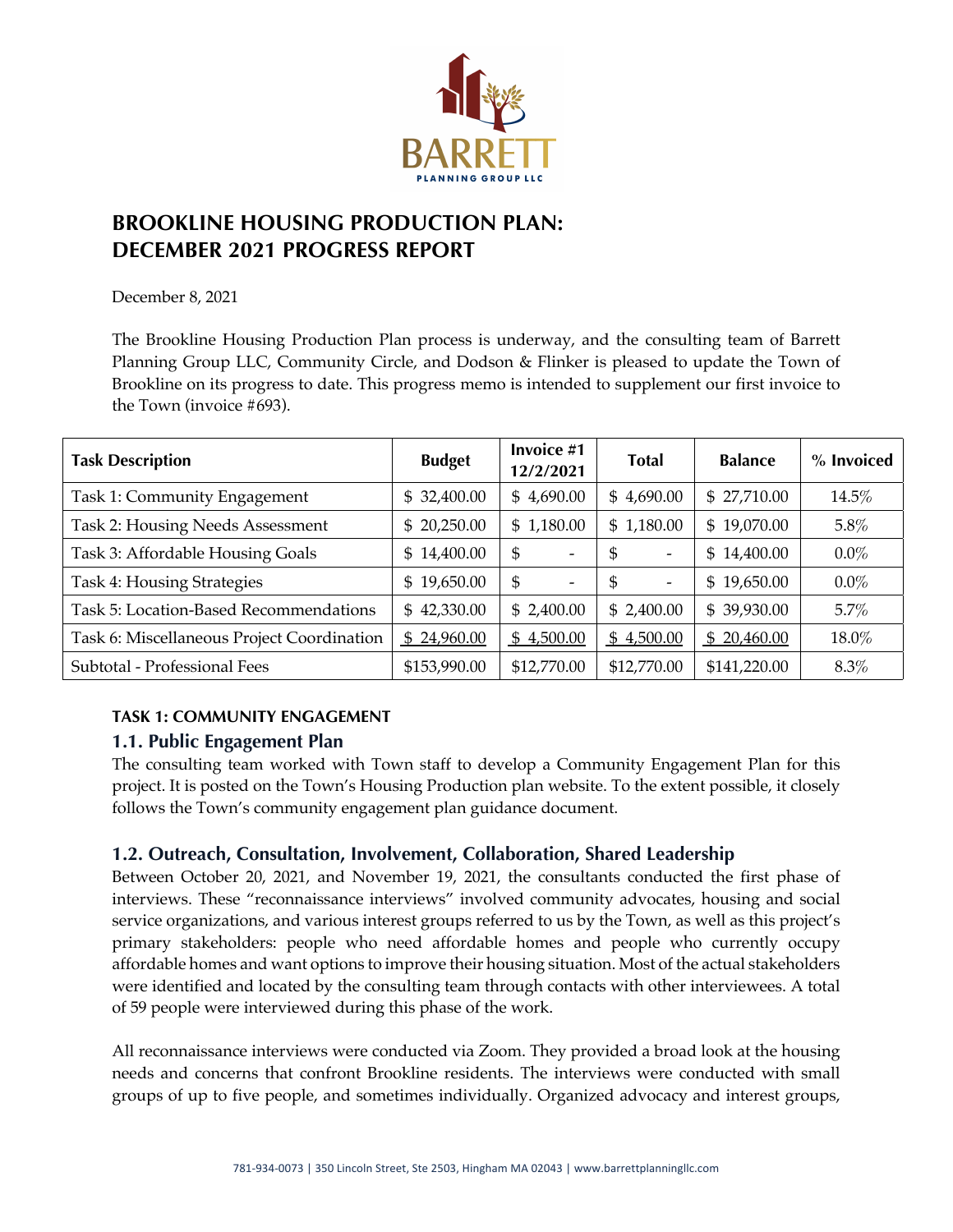

# **BROOKLINE HOUSING PRODUCTION PLAN: DECEMBER 2021 PROGRESS REPORT**

December 8, 2021

The Brookline Housing Production Plan process is underway, and the consulting team of Barrett Planning Group LLC, Community Circle, and Dodson & Flinker is pleased to update the Town of Brookline on its progress to date. This progress memo is intended to supplement our first invoice to the Town (invoice #693).

| <b>Task Description</b>                    | <b>Budget</b> | Invoice #1<br>12/2/2021        | <b>Total</b>                   | <b>Balance</b> | % Invoiced |
|--------------------------------------------|---------------|--------------------------------|--------------------------------|----------------|------------|
| Task 1: Community Engagement               | \$32,400.00   | \$4,690.00                     | \$4,690.00                     | \$27,710.00    | 14.5%      |
| Task 2: Housing Needs Assessment           | \$20,250.00   | \$1,180.00                     | \$1,180.00                     | \$19,070.00    | 5.8%       |
| Task 3: Affordable Housing Goals           | \$14,400.00   | \$<br>$\overline{\phantom{0}}$ | \$<br>$\overline{\phantom{a}}$ | \$14,400.00    | $0.0\%$    |
| Task 4: Housing Strategies                 | \$19,650.00   | \$<br>-                        | \$<br>$\overline{\phantom{a}}$ | \$19,650.00    | $0.0\%$    |
| Task 5: Location-Based Recommendations     | \$42,330.00   | \$2,400.00                     | \$2,400.00                     | \$39,930.00    | 5.7%       |
| Task 6: Miscellaneous Project Coordination | \$24,960.00   | \$4,500.00                     | \$4,500.00                     | \$20,460.00    | 18.0%      |
| Subtotal - Professional Fees               | \$153,990.00  | \$12,770.00                    | \$12,770.00                    | \$141,220.00   | 8.3%       |

#### **TASK 1: COMMUNITY ENGAGEMENT**

# **1.1. Public Engagement Plan**

The consulting team worked with Town staff to develop a Community Engagement Plan for this project. It is posted on the Town's Housing Production plan website. To the extent possible, it closely follows the Town's community engagement plan guidance document.

# **1.2. Outreach, Consultation, Involvement, Collaboration, Shared Leadership**

Between October 20, 2021, and November 19, 2021, the consultants conducted the first phase of interviews. These "reconnaissance interviews" involved community advocates, housing and social service organizations, and various interest groups referred to us by the Town, as well as this project's primary stakeholders: people who need affordable homes and people who currently occupy affordable homes and want options to improve their housing situation. Most of the actual stakeholders were identified and located by the consulting team through contacts with other interviewees. A total of 59 people were interviewed during this phase of the work.

All reconnaissance interviews were conducted via Zoom. They provided a broad look at the housing needs and concerns that confront Brookline residents. The interviews were conducted with small groups of up to five people, and sometimes individually. Organized advocacy and interest groups,